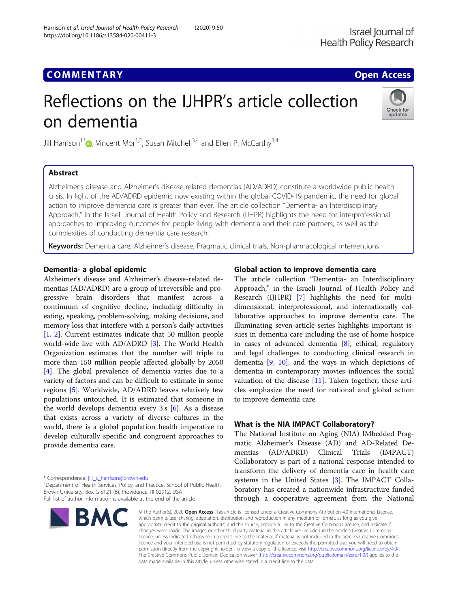Israel Journal of **Health Policy Research** 

## **COMMENTARY COMMENTARY COMMENTARY**

# Reflections on the IJHPR's article collection on dementia



Jill Harrison<sup>1</sup><sup>[\\*](http://orcid.org/0000-0001-6194-5452)</sup> $\bullet$ , Vincent Mor<sup>1,2</sup>, Susan Mitchell<sup>3,4</sup> and Ellen P. McCarthy<sup>3,4</sup>

### Abstract

Alzheimer's disease and Alzheimer's disease-related dementias (AD/ADRD) constitute a worldwide public health crisis. In light of the AD/ADRD epidemic now existing within the global COVID-19 pandemic, the need for global action to improve dementia care is greater than ever. The article collection "Dementia- an Interdisciplinary Approach," in the Israeli Journal of Health Policy and Research (IJHPR) highlights the need for interprofessional approaches to improving outcomes for people living with dementia and their care partners, as well as the complexities of conducting dementia care research.

Keywords: Dementia care, Alzheimer's disease, Pragmatic clinical trials, Non-pharmacological interventions

#### Dementia- a global epidemic

Alzheimer's disease and Alzheimer's disease-related dementias (AD/ADRD) are a group of irreversible and progressive brain disorders that manifest across a continuum of cognitive decline, including difficulty in eating, speaking, problem-solving, making decisions, and memory loss that interfere with a person's daily activities [[1,](#page-2-0) [2\]](#page-2-0). Current estimates indicate that 50 million people world-wide live with AD/ADRD [\[3](#page-2-0)]. The World Health Organization estimates that the number will triple to more than 150 million people affected globally by 2050 [[4\]](#page-2-0). The global prevalence of dementia varies due to a variety of factors and can be difficult to estimate in some regions [\[5](#page-2-0)]. Worldwide, AD/ADRD leaves relatively few populations untouched. It is estimated that someone in the world develops dementia every 3 s [[6\]](#page-2-0). As a disease that exists across a variety of diverse cultures in the world, there is a global population health imperative to develop culturally specific and congruent approaches to provide dementia care.

\* Correspondence: [jill\\_s\\_harrison@brown.edu](mailto:jill_s_harrison@brown.edu) <sup>1</sup>

<sup>1</sup>Department of Health Services, Policy, and Practice, School of Public Health, Brown University, Box G-S121 (6), Providence, RI 02912, USA Full list of author information is available at the end of the article



#### Global action to improve dementia care

The article collection "Dementia- an Interdisciplinary Approach," in the Israeli Journal of Health Policy and Research (IJHPR) [[7\]](#page-2-0) highlights the need for multidimensional, interprofessional, and internationally collaborative approaches to improve dementia care. The illuminating seven-article series highlights important issues in dementia care including the use of home hospice in cases of advanced dementia [\[8](#page-2-0)], ethical, regulatory and legal challenges to conducting clinical research in dementia  $[9, 10]$  $[9, 10]$  $[9, 10]$ , and the ways in which depictions of dementia in contemporary movies influences the social valuation of the disease [[11\]](#page-2-0). Taken together, these articles emphasize the need for national and global action to improve dementia care.

#### What is the NIA IMPACT Collaboratory?

The National Institute on Aging (NIA) IMbedded Pragmatic Alzheimer's Disease (AD) and AD-Related Dementias (AD/ADRD) Clinical Trials (IMPACT) Collaboratory is part of a national response intended to transform the delivery of dementia care in health care systems in the United States [\[3](#page-2-0)]. The IMPACT Collaboratory has created a nationwide infrastructure funded through a cooperative agreement from the National

© The Author(s), 2020 **Open Access** This article is licensed under a Creative Commons Attribution 4.0 International License, which permits use, sharing, adaptation, distribution and reproduction in any medium or format, as long as you give appropriate credit to the original author(s) and the source, provide a link to the Creative Commons licence, and indicate if changes were made. The images or other third party material in this article are included in the article's Creative Commons licence, unless indicated otherwise in a credit line to the material. If material is not included in the article's Creative Commons licence and your intended use is not permitted by statutory regulation or exceeds the permitted use, you will need to obtain permission directly from the copyright holder. To view a copy of this licence, visit [http://creativecommons.org/licenses/by/4.0/.](http://creativecommons.org/licenses/by/4.0/) The Creative Commons Public Domain Dedication waiver [\(http://creativecommons.org/publicdomain/zero/1.0/](http://creativecommons.org/publicdomain/zero/1.0/)) applies to the data made available in this article, unless otherwise stated in a credit line to the data.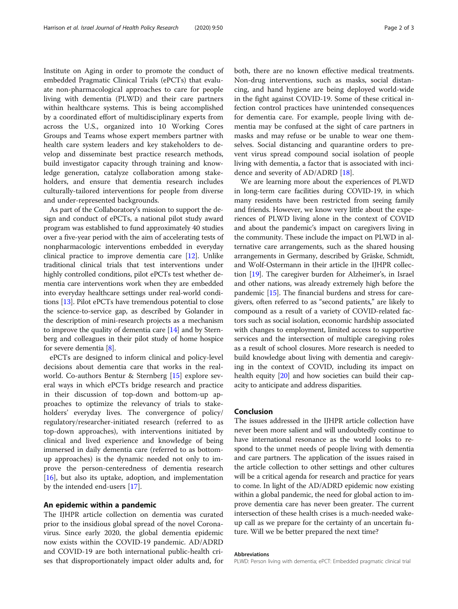Institute on Aging in order to promote the conduct of embedded Pragmatic Clinical Trials (ePCTs) that evaluate non-pharmacological approaches to care for people living with dementia (PLWD) and their care partners within healthcare systems. This is being accomplished by a coordinated effort of multidisciplinary experts from across the U.S., organized into 10 Working Cores Groups and Teams whose expert members partner with health care system leaders and key stakeholders to develop and disseminate best practice research methods, build investigator capacity through training and knowledge generation, catalyze collaboration among stakeholders, and ensure that dementia research includes culturally-tailored interventions for people from diverse and under-represented backgrounds.

As part of the Collaboratory's mission to support the design and conduct of ePCTs, a national pilot study award program was established to fund approximately 40 studies over a five-year period with the aim of accelerating tests of nonpharmacologic interventions embedded in everyday clinical practice to improve dementia care [\[12\]](#page-2-0). Unlike traditional clinical trials that test interventions under highly controlled conditions, pilot ePCTs test whether dementia care interventions work when they are embedded into everyday healthcare settings under real-world conditions [\[13\]](#page-2-0). Pilot ePCTs have tremendous potential to close the science-to-service gap, as described by Golander in the description of mini-research projects as a mechanism to improve the quality of dementia care [[14](#page-2-0)] and by Sternberg and colleagues in their pilot study of home hospice for severe dementia [[8\]](#page-2-0).

ePCTs are designed to inform clinical and policy-level decisions about dementia care that works in the realworld. Co-authors Bentur & Sternberg [[15\]](#page-2-0) explore several ways in which ePCTs bridge research and practice in their discussion of top-down and bottom-up approaches to optimize the relevancy of trials to stakeholders' everyday lives. The convergence of policy/ regulatory/researcher-initiated research (referred to as top-down approaches), with interventions initiated by clinical and lived experience and knowledge of being immersed in daily dementia care (referred to as bottomup approaches) is the dynamic needed not only to improve the person-centeredness of dementia research [[16\]](#page-2-0), but also its uptake, adoption, and implementation by the intended end-users [\[17](#page-2-0)].

#### An epidemic within a pandemic

The IJHPR article collection on dementia was curated prior to the insidious global spread of the novel Coronavirus. Since early 2020, the global dementia epidemic now exists within the COVID-19 pandemic. AD/ADRD and COVID-19 are both international public-health crises that disproportionately impact older adults and, for both, there are no known effective medical treatments. Non-drug interventions, such as masks, social distancing, and hand hygiene are being deployed world-wide in the fight against COVID-19. Some of these critical infection control practices have unintended consequences for dementia care. For example, people living with dementia may be confused at the sight of care partners in masks and may refuse or be unable to wear one themselves. Social distancing and quarantine orders to prevent virus spread compound social isolation of people living with dementia, a factor that is associated with incidence and severity of AD/ADRD [\[18](#page-2-0)].

We are learning more about the experiences of PLWD in long-term care facilities during COVID-19, in which many residents have been restricted from seeing family and friends. However, we know very little about the experiences of PLWD living alone in the context of COVID and about the pandemic's impact on caregivers living in the community. These include the impact on PLWD in alternative care arrangements, such as the shared housing arrangements in Germany, described by Gräske, Schmidt, and Wolf-Ostermann in their article in the IJHPR collection [\[19](#page-2-0)]. The caregiver burden for Alzheimer's, in Israel and other nations, was already extremely high before the pandemic [\[15\]](#page-2-0). The financial burdens and stress for caregivers, often referred to as "second patients," are likely to compound as a result of a variety of COVID-related factors such as social isolation, economic hardship associated with changes to employment, limited access to supportive services and the intersection of multiple caregiving roles as a result of school closures. More research is needed to build knowledge about living with dementia and caregiving in the context of COVID, including its impact on health equity [\[20](#page-2-0)] and how societies can build their capacity to anticipate and address disparities.

#### Conclusion

The issues addressed in the IJHPR article collection have never been more salient and will undoubtedly continue to have international resonance as the world looks to respond to the unmet needs of people living with dementia and care partners. The application of the issues raised in the article collection to other settings and other cultures will be a critical agenda for research and practice for years to come. In light of the AD/ADRD epidemic now existing within a global pandemic, the need for global action to improve dementia care has never been greater. The current intersection of these health crises is a much-needed wakeup call as we prepare for the certainty of an uncertain future. Will we be better prepared the next time?

#### Abbreviations

PLWD: Person living with dementia; ePCT: Embedded pragmatic clinical trial